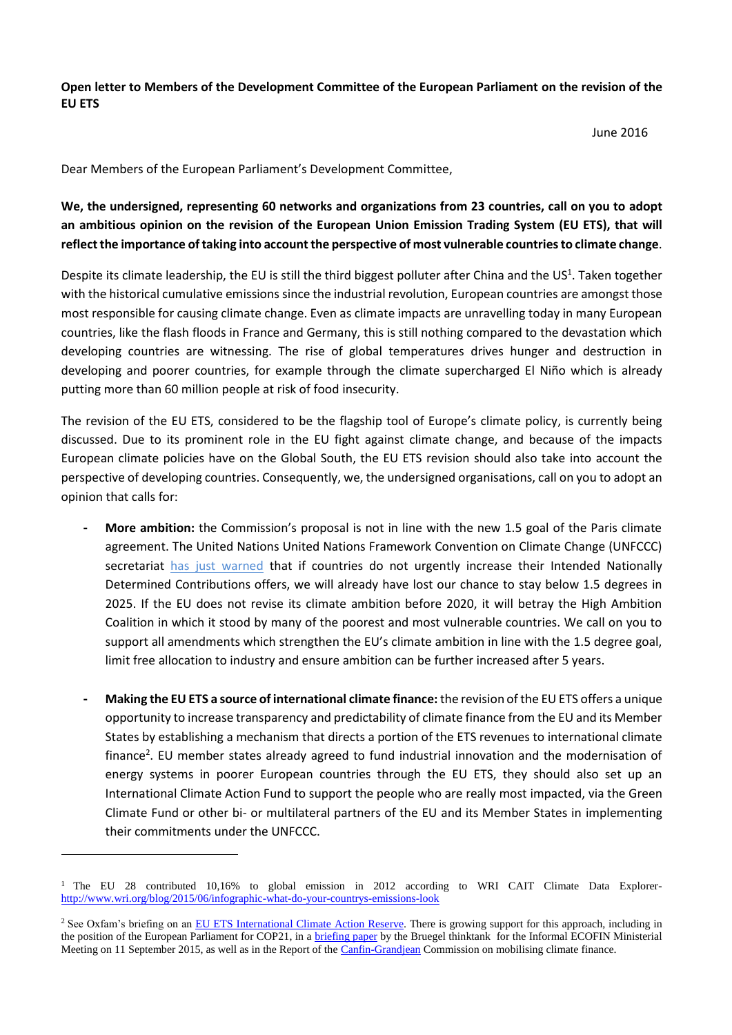**Open letter to Members of the Development Committee of the European Parliament on the revision of the EU ETS**

June 2016

Dear Members of the European Parliament's Development Committee,

**We, the undersigned, representing 60 networks and organizations from 23 countries, call on you to adopt an ambitious opinion on the revision of the European Union Emission Trading System (EU ETS), that will reflect the importance of taking into account the perspective of most vulnerable countries to climate change**.

Despite its climate leadership, the EU is still the third biggest polluter after China and the US<sup>1</sup>. Taken together with the historical cumulative emissions since the industrial revolution, European countries are amongst those most responsible for causing climate change. Even as climate impacts are unravelling today in many European countries, like the flash floods in France and Germany, this is still nothing compared to the devastation which developing countries are witnessing. The rise of global temperatures drives hunger and destruction in developing and poorer countries, for example through the climate supercharged El Niño which is already putting more than 60 million people at risk of food insecurity.

The revision of the EU ETS, considered to be the flagship tool of Europe's climate policy, is currently being discussed. Due to its prominent role in the EU fight against climate change, and because of the impacts European climate policies have on the Global South, the EU ETS revision should also take into account the perspective of developing countries. Consequently, we, the undersigned organisations, call on you to adopt an opinion that calls for:

- **- More ambition:** the Commission's proposal is not in line with the new 1.5 goal of the Paris climate agreement. The United Nations United Nations Framework Convention on Climate Change (UNFCCC) secretariat [has just warned](http://mitigationpartnership.net/unfccc-2016-aggregate-effect-intended-nationally-determined-contributions-update) that if countries do not urgently increase their Intended Nationally Determined Contributions offers, we will already have lost our chance to stay below 1.5 degrees in 2025. If the EU does not revise its climate ambition before 2020, it will betray the High Ambition Coalition in which it stood by many of the poorest and most vulnerable countries. We call on you to support all amendments which strengthen the EU's climate ambition in line with the 1.5 degree goal, limit free allocation to industry and ensure ambition can be further increased after 5 years.
- **- Making the EU ETS a source of international climate finance:** the revision of the EU ETS offers a unique opportunity to increase transparency and predictability of climate finance from the EU and its Member States by establishing a mechanism that directs a portion of the ETS revenues to international climate finance<sup>2</sup>. EU member states already agreed to fund industrial innovation and the modernisation of energy systems in poorer European countries through the EU ETS, they should also set up an International Climate Action Fund to support the people who are really most impacted, via the Green Climate Fund or other bi- or multilateral partners of the EU and its Member States in implementing their commitments under the UNFCCC.

l

<sup>&</sup>lt;sup>1</sup> The EU 28 contributed 10,16% to global emission in 2012 according to WRI CAIT Climate Data Explorer<http://www.wri.org/blog/2015/06/infographic-what-do-your-countrys-emissions-look>

<sup>&</sup>lt;sup>2</sup> See Oxfam's briefing on an [EU ETS International Climate Action Reserve.](https://www.oxfam.org/sites/www.oxfam.org/files/file_attachments/the_eus_emission_trading_scheme_as_a_source_of_international_climate_finance_.pdf) There is growing support for this approach, including in the position of the European Parliament for COP21, in a [briefing paper](http://bruegel.org/2015/09/european-climate-finance-securing-the-best-return/) by the Bruegel thinktank for the Informal ECOFIN Ministerial Meeting on 11 September 2015, as well as in the Report of the [Canfin-Grandjean](http://www.elysee.fr/assets/Report-Commission-Canfin-Grandjean-ENG.pdf) Commission on mobilising climate finance.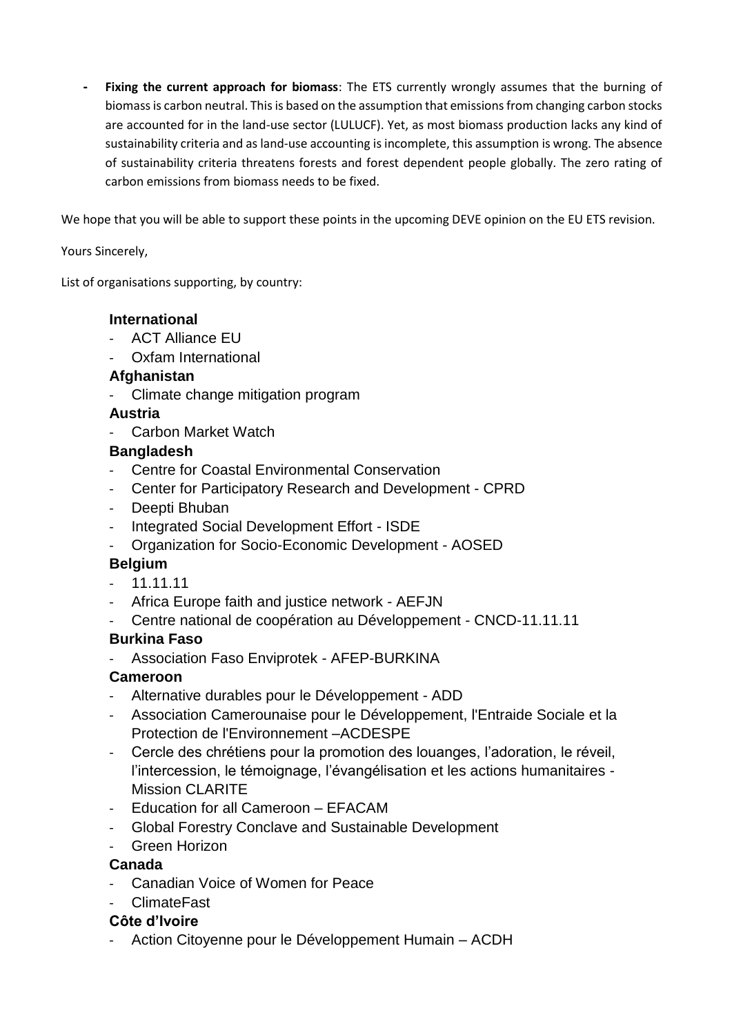**- Fixing the current approach for biomass**: The ETS currently wrongly assumes that the burning of biomass is carbon neutral. This is based on the assumption that emissions from changing carbon stocks are accounted for in the land-use sector (LULUCF). Yet, as most biomass production lacks any kind of sustainability criteria and as land-use accounting is incomplete, this assumption is wrong. The absence of sustainability criteria threatens forests and forest dependent people globally. The zero rating of carbon emissions from biomass needs to be fixed.

We hope that you will be able to support these points in the upcoming DEVE opinion on the EU ETS revision.

Yours Sincerely,

List of organisations supporting, by country:

#### **International**

- ACT Alliance EU
- Oxfam International

#### **Afghanistan**

- Climate change mitigation program

#### **Austria**

Carbon Market Watch

#### **Bangladesh**

- Centre for Coastal Environmental Conservation
- Center for Participatory Research and Development CPRD
- Deepti Bhuban
- Integrated Social Development Effort ISDE
- Organization for Socio-Economic Development AOSED

## **Belgium**

- $11.11.11$
- Africa Europe faith and justice network AEFJN
- Centre national de coopération au Développement CNCD-11.11.11

#### **Burkina Faso**

- Association Faso Enviprotek - AFEP-BURKINA

#### **Cameroon**

- Alternative durables pour le Développement ADD
- Association Camerounaise pour le Développement, l'Entraide Sociale et la Protection de l'Environnement –ACDESPE
- Cercle des chrétiens pour la promotion des louanges, l'adoration, le réveil, l'intercession, le témoignage, l'évangélisation et les actions humanitaires - Mission CLARITE
- Education for all Cameroon EFACAM
- Global Forestry Conclave and Sustainable Development
- Green Horizon

#### **Canada**

Canadian Voice of Women for Peace

## - ClimateFast

## **Côte d'Ivoire**

Action Citoyenne pour le Développement Humain – ACDH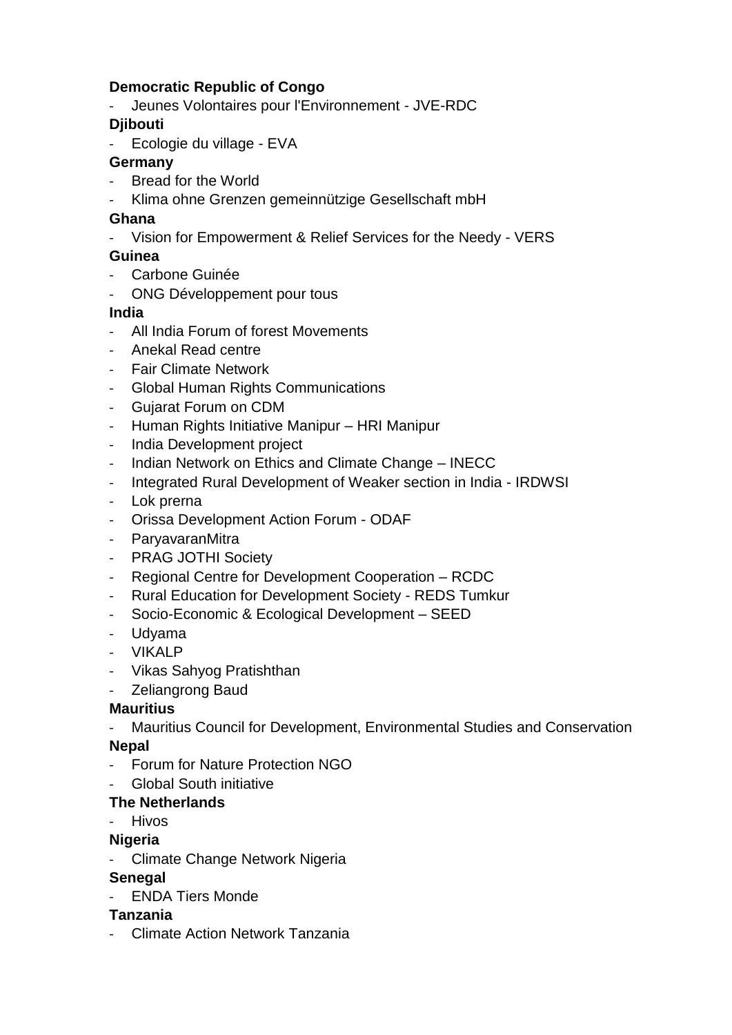## **Democratic Republic of Congo**

- Jeunes Volontaires pour l'Environnement - JVE-RDC

# **Djibouti**

- Ecologie du village - EVA

## **Germany**

- Bread for the World
- Klima ohne Grenzen gemeinnützige Gesellschaft mbH

## **Ghana**

- Vision for Empowerment & Relief Services for the Needy - VERS

## **Guinea**

- Carbone Guinée
- ONG Développement pour tous

## **India**

- All India Forum of forest Movements
- Anekal Read centre
- Fair Climate Network
- Global Human Rights Communications
- Gujarat Forum on CDM
- Human Rights Initiative Manipur HRI Manipur
- India Development project
- Indian Network on Ethics and Climate Change INECC
- Integrated Rural Development of Weaker section in India IRDWSI
- Lok prerna
- Orissa Development Action Forum ODAF
- ParyavaranMitra
- PRAG JOTHI Society
- Regional Centre for Development Cooperation RCDC
- Rural Education for Development Society REDS Tumkur
- Socio-Economic & Ecological Development SEED
- Udyama
- VIKALP
- Vikas Sahyog Pratishthan
- Zeliangrong Baud

# **Mauritius**

- Mauritius Council for Development, Environmental Studies and Conservation

## **Nepal**

- Forum for Nature Protection NGO
- Global South initiative

# **The Netherlands**

**Hivos** 

## **Nigeria**

- Climate Change Network Nigeria

# **Senegal**

- ENDA Tiers Monde

## **Tanzania**

- Climate Action Network Tanzania